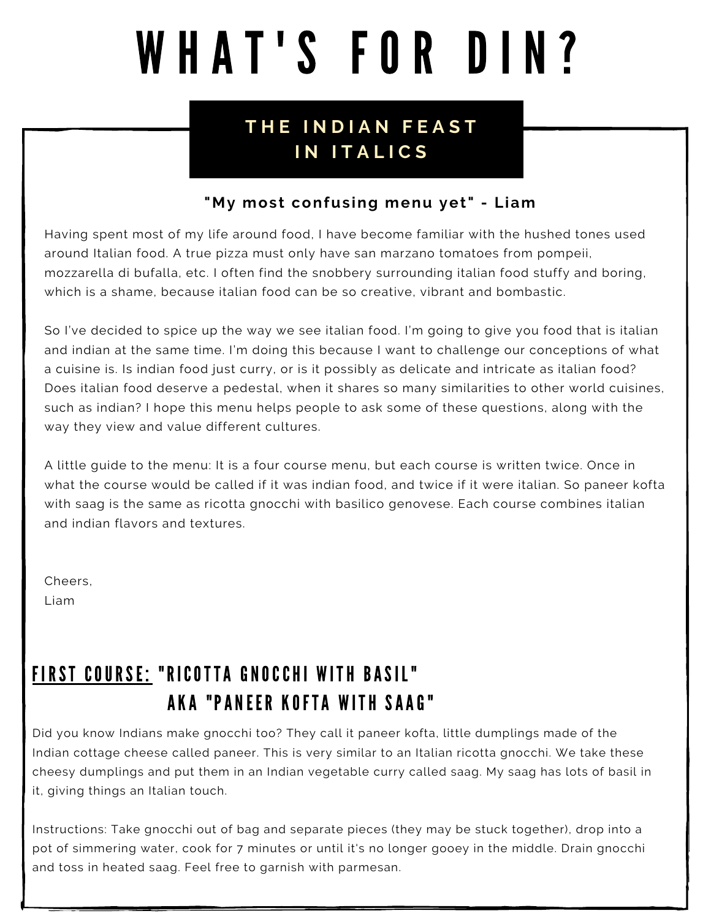# WHAT'S FOR DIN?

### **T H E I N D I A N F E A S T I N I T A L I C S**

#### **"My most confusing menu yet" - Liam**

Having spent most of my life around food, I have become familiar with the hushed tones used around Italian food. A true pizza must only have san marzano tomatoes from pompeii, mozzarella di bufalla, etc. I often find the snobbery surrounding italian food stuffy and boring, which is a shame, because italian food can be so creative, vibrant and bombastic.

So I've decided to spice up the way we see italian food. I'm going to give you food that is italian and indian at the same time. I'm doing this because I want to challenge our conceptions of what a cuisine is. Is indian food just curry, or is it possibly as delicate and intricate as italian food? Does italian food deserve a pedestal, when it shares so many similarities to other world cuisines, such as indian? I hope this menu helps people to ask some of these questions, along with the way they view and value different cultures.

A little guide to the menu: It is a four course menu, but each course is written twice. Once in what the course would be called if it was indian food, and twice if it were italian. So paneer kofta with saag is the same as ricotta gnocchi with basilico genovese. Each course combines italian and indian flavors and textures.

Cheers, Liam

# FIRST COURSE: "RICOTTA GNOCCHI WITH BASIL" AKA "PANEER KOFTA WITH SAAG"

Did you know Indians make gnocchi too? They call it paneer kofta, little dumplings made of the Indian cottage cheese called paneer. This is very similar to an Italian ricotta gnocchi. We take these cheesy dumplings and put them in an Indian vegetable curry called saag. My saag has lots of basil in it, giving things an Italian touch.

Instructions: Take gnocchi out of bag and separate pieces (they may be stuck together), drop into a pot of simmering water, cook for 7 minutes or until it's no longer gooey in the middle. Drain gnocchi and toss in heated saag. Feel free to garnish with parmesan.